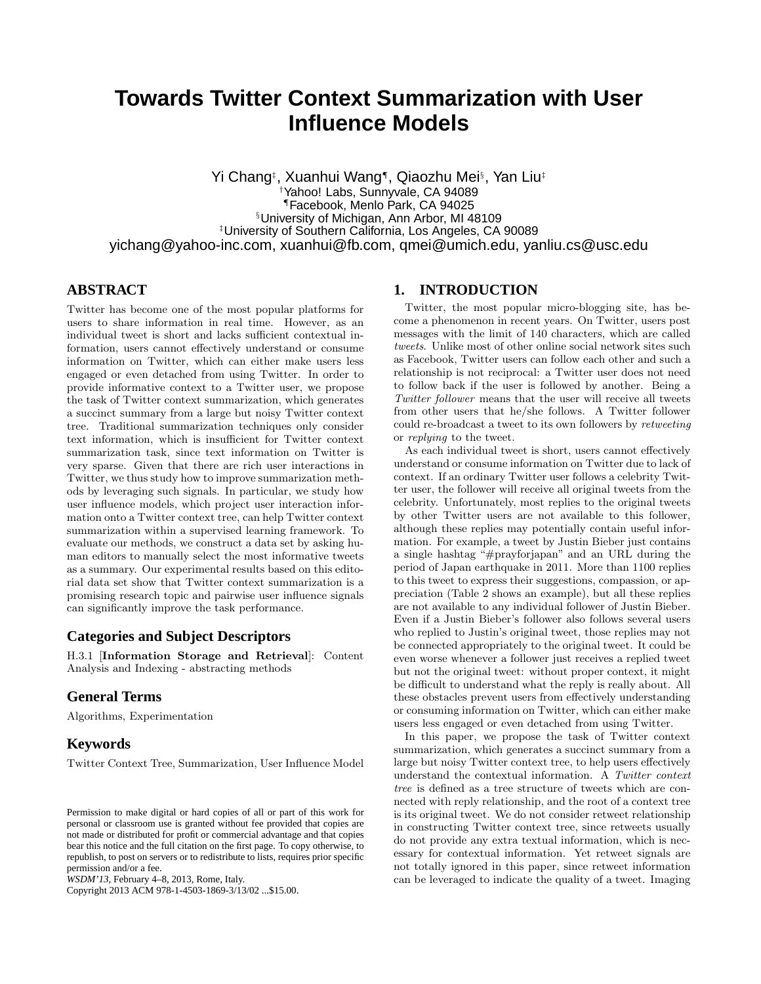# **Towards Twitter Context Summarization with User Influence Models**

Yi Chang<sup>‡</sup>, Xuanhui Wang<sup>¶</sup>, Qiaozhu Mei<sup>§</sup>, Yan Liu‡ †Yahoo! Labs, Sunnyvale, CA 94089 ¶Facebook, Menlo Park, CA 94025 §University of Michigan, Ann Arbor, MI 48109 ‡University of Southern California, Los Angeles, CA 90089 yichang@yahoo-inc.com, xuanhui@fb.com, qmei@umich.edu, yanliu.cs@usc.edu

# **ABSTRACT**

Twitter has become one of the most popular platforms for users to share information in real time. However, as an individual tweet is short and lacks sufficient contextual information, users cannot effectively understand or consume information on Twitter, which can either make users less engaged or even detached from using Twitter. In order to provide informative context to a Twitter user, we propose the task of Twitter context summarization, which generates a succinct summary from a large but noisy Twitter context tree. Traditional summarization techniques only consider text information, which is insufficient for Twitter context summarization task, since text information on Twitter is very sparse. Given that there are rich user interactions in Twitter, we thus study how to improve summarization methods by leveraging such signals. In particular, we study how user influence models, which project user interaction information onto a Twitter context tree, can help Twitter context summarization within a supervised learning framework. To evaluate our methods, we construct a data set by asking human editors to manually select the most informative tweets as a summary. Our experimental results based on this editorial data set show that Twitter context summarization is a promising research topic and pairwise user influence signals can significantly improve the task performance.

#### **Categories and Subject Descriptors**

H.3.1 [Information Storage and Retrieval]: Content Analysis and Indexing - abstracting methods

#### **General Terms**

Algorithms, Experimentation

## **Keywords**

Twitter Context Tree, Summarization, User Influence Model

Copyright 2013 ACM 978-1-4503-1869-3/13/02 ...\$15.00.

# **1. INTRODUCTION**

Twitter, the most popular micro-blogging site, has become a phenomenon in recent years. On Twitter, users post messages with the limit of 140 characters, which are called tweets. Unlike most of other online social network sites such as Facebook, Twitter users can follow each other and such a relationship is not reciprocal: a Twitter user does not need to follow back if the user is followed by another. Being a Twitter follower means that the user will receive all tweets from other users that he/she follows. A Twitter follower could re-broadcast a tweet to its own followers by retweeting or replying to the tweet.

As each individual tweet is short, users cannot effectively understand or consume information on Twitter due to lack of context. If an ordinary Twitter user follows a celebrity Twitter user, the follower will receive all original tweets from the celebrity. Unfortunately, most replies to the original tweets by other Twitter users are not available to this follower, although these replies may potentially contain useful information. For example, a tweet by Justin Bieber just contains a single hashtag "#prayforjapan" and an URL during the period of Japan earthquake in 2011. More than 1100 replies to this tweet to express their suggestions, compassion, or appreciation (Table 2 shows an example), but all these replies are not available to any individual follower of Justin Bieber. Even if a Justin Bieber's follower also follows several users who replied to Justin's original tweet, those replies may not be connected appropriately to the original tweet. It could be even worse whenever a follower just receives a replied tweet but not the original tweet: without proper context, it might be difficult to understand what the reply is really about. All these obstacles prevent users from effectively understanding or consuming information on Twitter, which can either make users less engaged or even detached from using Twitter.

In this paper, we propose the task of Twitter context summarization, which generates a succinct summary from a large but noisy Twitter context tree, to help users effectively understand the contextual information. A Twitter context tree is defined as a tree structure of tweets which are connected with reply relationship, and the root of a context tree is its original tweet. We do not consider retweet relationship in constructing Twitter context tree, since retweets usually do not provide any extra textual information, which is necessary for contextual information. Yet retweet signals are not totally ignored in this paper, since retweet information can be leveraged to indicate the quality of a tweet. Imaging

Permission to make digital or hard copies of all or part of this work for personal or classroom use is granted without fee provided that copies are not made or distributed for profit or commercial advantage and that copies bear this notice and the full citation on the first page. To copy otherwise, to republish, to post on servers or to redistribute to lists, requires prior specific permission and/or a fee.

*WSDM'13,* February 4–8, 2013, Rome, Italy.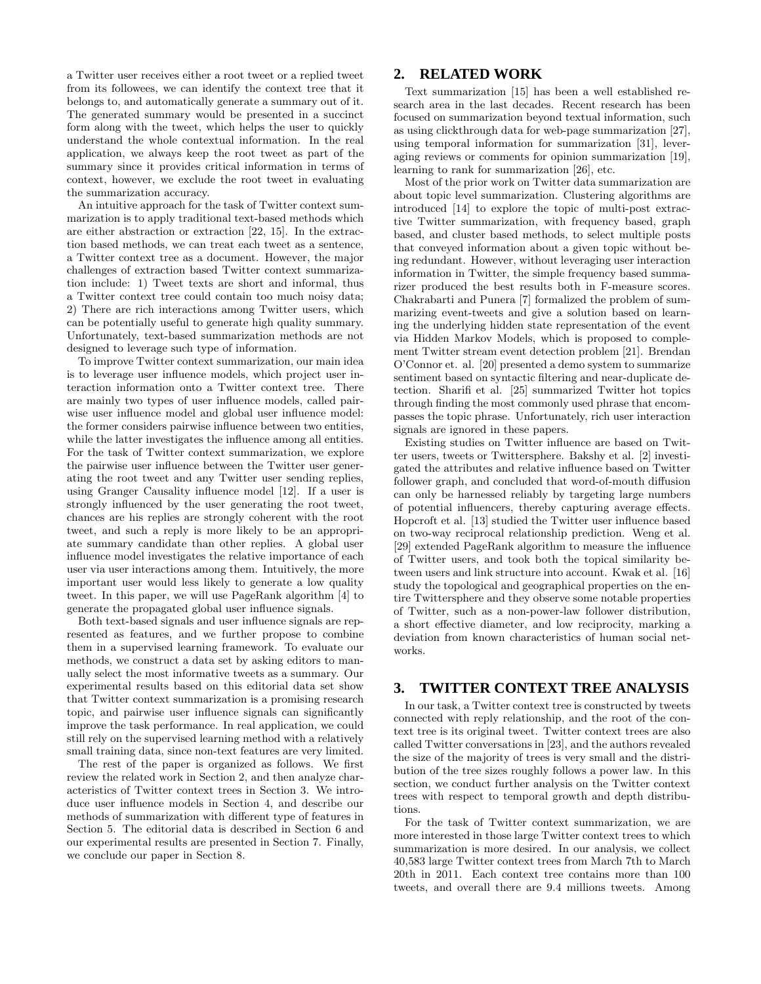a Twitter user receives either a root tweet or a replied tweet from its followees, we can identify the context tree that it belongs to, and automatically generate a summary out of it. The generated summary would be presented in a succinct form along with the tweet, which helps the user to quickly understand the whole contextual information. In the real application, we always keep the root tweet as part of the summary since it provides critical information in terms of context, however, we exclude the root tweet in evaluating the summarization accuracy.

An intuitive approach for the task of Twitter context summarization is to apply traditional text-based methods which are either abstraction or extraction [22, 15]. In the extraction based methods, we can treat each tweet as a sentence, a Twitter context tree as a document. However, the major challenges of extraction based Twitter context summarization include: 1) Tweet texts are short and informal, thus a Twitter context tree could contain too much noisy data; 2) There are rich interactions among Twitter users, which can be potentially useful to generate high quality summary. Unfortunately, text-based summarization methods are not designed to leverage such type of information.

To improve Twitter context summarization, our main idea is to leverage user influence models, which project user interaction information onto a Twitter context tree. There are mainly two types of user influence models, called pairwise user influence model and global user influence model: the former considers pairwise influence between two entities, while the latter investigates the influence among all entities. For the task of Twitter context summarization, we explore the pairwise user influence between the Twitter user generating the root tweet and any Twitter user sending replies, using Granger Causality influence model [12]. If a user is strongly influenced by the user generating the root tweet, chances are his replies are strongly coherent with the root tweet, and such a reply is more likely to be an appropriate summary candidate than other replies. A global user influence model investigates the relative importance of each user via user interactions among them. Intuitively, the more important user would less likely to generate a low quality tweet. In this paper, we will use PageRank algorithm [4] to generate the propagated global user influence signals.

Both text-based signals and user influence signals are represented as features, and we further propose to combine them in a supervised learning framework. To evaluate our methods, we construct a data set by asking editors to manually select the most informative tweets as a summary. Our experimental results based on this editorial data set show that Twitter context summarization is a promising research topic, and pairwise user influence signals can significantly improve the task performance. In real application, we could still rely on the supervised learning method with a relatively small training data, since non-text features are very limited.

The rest of the paper is organized as follows. We first review the related work in Section 2, and then analyze characteristics of Twitter context trees in Section 3. We introduce user influence models in Section 4, and describe our methods of summarization with different type of features in Section 5. The editorial data is described in Section 6 and our experimental results are presented in Section 7. Finally, we conclude our paper in Section 8.

#### **2. RELATED WORK**

Text summarization [15] has been a well established research area in the last decades. Recent research has been focused on summarization beyond textual information, such as using clickthrough data for web-page summarization [27], using temporal information for summarization [31], leveraging reviews or comments for opinion summarization [19], learning to rank for summarization [26], etc.

Most of the prior work on Twitter data summarization are about topic level summarization. Clustering algorithms are introduced [14] to explore the topic of multi-post extractive Twitter summarization, with frequency based, graph based, and cluster based methods, to select multiple posts that conveyed information about a given topic without being redundant. However, without leveraging user interaction information in Twitter, the simple frequency based summarizer produced the best results both in F-measure scores. Chakrabarti and Punera [7] formalized the problem of summarizing event-tweets and give a solution based on learning the underlying hidden state representation of the event via Hidden Markov Models, which is proposed to complement Twitter stream event detection problem [21]. Brendan O'Connor et. al. [20] presented a demo system to summarize sentiment based on syntactic filtering and near-duplicate detection. Sharifi et al. [25] summarized Twitter hot topics through finding the most commonly used phrase that encompasses the topic phrase. Unfortunately, rich user interaction signals are ignored in these papers.

Existing studies on Twitter influence are based on Twitter users, tweets or Twittersphere. Bakshy et al. [2] investigated the attributes and relative influence based on Twitter follower graph, and concluded that word-of-mouth diffusion can only be harnessed reliably by targeting large numbers of potential influencers, thereby capturing average effects. Hopcroft et al. [13] studied the Twitter user influence based on two-way reciprocal relationship prediction. Weng et al. [29] extended PageRank algorithm to measure the influence of Twitter users, and took both the topical similarity between users and link structure into account. Kwak et al. [16] study the topological and geographical properties on the entire Twittersphere and they observe some notable properties of Twitter, such as a non-power-law follower distribution, a short effective diameter, and low reciprocity, marking a deviation from known characteristics of human social networks.

#### **3. TWITTER CONTEXT TREE ANALYSIS**

In our task, a Twitter context tree is constructed by tweets connected with reply relationship, and the root of the context tree is its original tweet. Twitter context trees are also called Twitter conversations in [23], and the authors revealed the size of the majority of trees is very small and the distribution of the tree sizes roughly follows a power law. In this section, we conduct further analysis on the Twitter context trees with respect to temporal growth and depth distributions.

For the task of Twitter context summarization, we are more interested in those large Twitter context trees to which summarization is more desired. In our analysis, we collect 40,583 large Twitter context trees from March 7th to March 20th in 2011. Each context tree contains more than 100 tweets, and overall there are 9.4 millions tweets. Among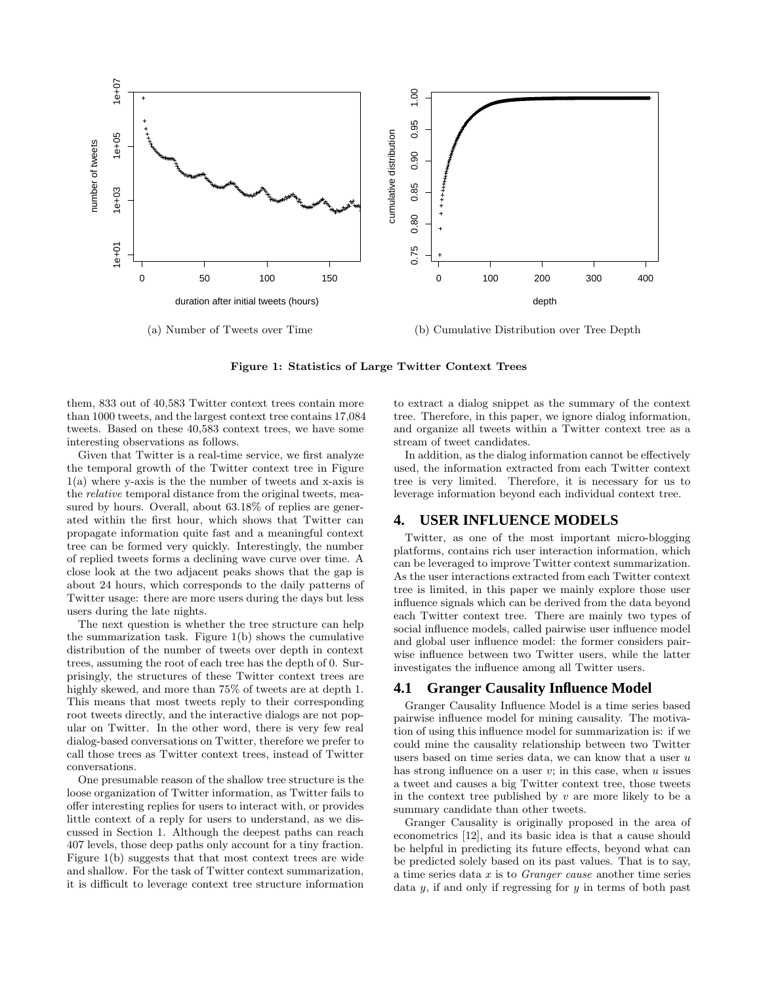

Figure 1: Statistics of Large Twitter Context Trees

them, 833 out of 40,583 Twitter context trees contain more than 1000 tweets, and the largest context tree contains 17,084 tweets. Based on these 40,583 context trees, we have some interesting observations as follows.

Given that Twitter is a real-time service, we first analyze the temporal growth of the Twitter context tree in Figure 1(a) where y-axis is the the number of tweets and x-axis is the relative temporal distance from the original tweets, measured by hours. Overall, about  $63.18\%$  of replies are generated within the first hour, which shows that Twitter can propagate information quite fast and a meaningful context tree can be formed very quickly. Interestingly, the number of replied tweets forms a declining wave curve over time. A close look at the two adjacent peaks shows that the gap is about 24 hours, which corresponds to the daily patterns of Twitter usage: there are more users during the days but less users during the late nights.

The next question is whether the tree structure can help the summarization task. Figure 1(b) shows the cumulative distribution of the number of tweets over depth in context trees, assuming the root of each tree has the depth of 0. Surprisingly, the structures of these Twitter context trees are highly skewed, and more than  $75\%$  of tweets are at depth 1. This means that most tweets reply to their corresponding root tweets directly, and the interactive dialogs are not popular on Twitter. In the other word, there is very few real dialog-based conversations on Twitter, therefore we prefer to call those trees as Twitter context trees, instead of Twitter conversations.

One presumable reason of the shallow tree structure is the loose organization of Twitter information, as Twitter fails to offer interesting replies for users to interact with, or provides little context of a reply for users to understand, as we discussed in Section 1. Although the deepest paths can reach 407 levels, those deep paths only account for a tiny fraction. Figure 1(b) suggests that that most context trees are wide and shallow. For the task of Twitter context summarization, it is difficult to leverage context tree structure information to extract a dialog snippet as the summary of the context tree. Therefore, in this paper, we ignore dialog information, and organize all tweets within a Twitter context tree as a stream of tweet candidates.

In addition, as the dialog information cannot be effectively used, the information extracted from each Twitter context tree is very limited. Therefore, it is necessary for us to leverage information beyond each individual context tree.

#### **4. USER INFLUENCE MODELS**

Twitter, as one of the most important micro-blogging platforms, contains rich user interaction information, which can be leveraged to improve Twitter context summarization. As the user interactions extracted from each Twitter context tree is limited, in this paper we mainly explore those user influence signals which can be derived from the data beyond each Twitter context tree. There are mainly two types of social influence models, called pairwise user influence model and global user influence model: the former considers pairwise influence between two Twitter users, while the latter investigates the influence among all Twitter users.

## **4.1 Granger Causality Influence Model**

Granger Causality Influence Model is a time series based pairwise influence model for mining causality. The motivation of using this influence model for summarization is: if we could mine the causality relationship between two Twitter users based on time series data, we can know that a user  $u$ has strong influence on a user  $v$ ; in this case, when  $u$  issues a tweet and causes a big Twitter context tree, those tweets in the context tree published by  $v$  are more likely to be a summary candidate than other tweets.

Granger Causality is originally proposed in the area of econometrics [12], and its basic idea is that a cause should be helpful in predicting its future effects, beyond what can be predicted solely based on its past values. That is to say, a time series data x is to Granger cause another time series data  $y$ , if and only if regressing for  $y$  in terms of both past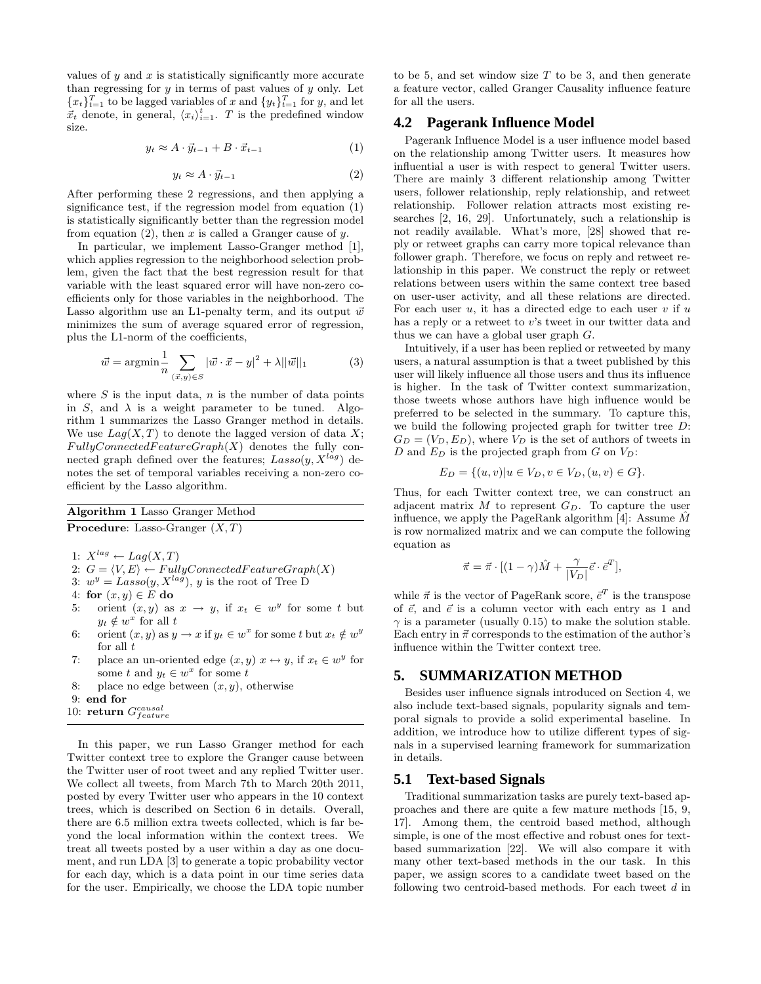values of  $y$  and  $x$  is statistically significantly more accurate than regressing for  $y$  in terms of past values of  $y$  only. Let  ${x_t}_{t=1}^T$  to be lagged variables of x and  ${y_t}_{t=1}^T$  for y, and let  $\vec{x}_t$  denote, in general,  $\langle x_i \rangle_{i=1}^t$ . T is the predefined window size.

$$
y_t \approx A \cdot \vec{y}_{t-1} + B \cdot \vec{x}_{t-1} \tag{1}
$$

$$
y_t \approx A \cdot \vec{y}_{t-1} \tag{2}
$$

After performing these 2 regressions, and then applying a significance test, if the regression model from equation (1) is statistically significantly better than the regression model from equation (2), then  $x$  is called a Granger cause of  $y$ .

In particular, we implement Lasso-Granger method [1], which applies regression to the neighborhood selection problem, given the fact that the best regression result for that variable with the least squared error will have non-zero coefficients only for those variables in the neighborhood. The Lasso algorithm use an L1-penalty term, and its output  $\vec{w}$ minimizes the sum of average squared error of regression, plus the L1-norm of the coefficients,

$$
\vec{w} = \operatorname{argmin}_{\mathcal{H}} \frac{1}{\sum_{(\vec{x}, y) \in S} |\vec{w} \cdot \vec{x} - y|^2 + \lambda ||\vec{w}||_1}
$$
(3)

where  $S$  is the input data,  $n$  is the number of data points in S, and  $\lambda$  is a weight parameter to be tuned. Algorithm 1 summarizes the Lasso Granger method in details. We use  $Laq(X,T)$  to denote the lagged version of data X;  $Fully ConnectedFeatureGraph(X)$  denotes the fully connected graph defined over the features;  $Lasso(y, X^{lag})$  denotes the set of temporal variables receiving a non-zero coefficient by the Lasso algorithm.

| Algorithm 1 Lasso Granger Method         |  |
|------------------------------------------|--|
| <b>Procedure:</b> Lasso-Granger $(X, T)$ |  |

1:  $X^{lag} \leftarrow Lag(X, T)$ 

2: 
$$
G = \langle V, E \rangle \leftarrow FullyConnectedFeatureGraph(X)
$$

3: 
$$
w^y = Lasso(y, X^{lag}), y
$$
 is the root of Tree D

- 4: for  $(x, y) \in E$  do
- 5: orient  $(x, y)$  as  $x \to y$ , if  $x_t \in w^y$  for some t but  $y_t \notin w^x$  for all t
- 6: orient  $(x, y)$  as  $y \to x$  if  $y_t \in w^x$  for some t but  $x_t \notin w^y$ for all  $t$
- 7: place an un-oriented edge  $(x, y)$   $x \leftrightarrow y$ , if  $x_t \in w^y$  for some t and  $y_t \in w^x$  for some t
- 8: place no edge between  $(x, y)$ , otherwise
- 9: end for
- 10:  $\mathbf{return} \; G_{feature}^{causal}$

In this paper, we run Lasso Granger method for each Twitter context tree to explore the Granger cause between the Twitter user of root tweet and any replied Twitter user. We collect all tweets, from March 7th to March 20th 2011, posted by every Twitter user who appears in the 10 context trees, which is described on Section 6 in details. Overall, there are 6.5 million extra tweets collected, which is far beyond the local information within the context trees. We treat all tweets posted by a user within a day as one document, and run LDA [3] to generate a topic probability vector for each day, which is a data point in our time series data for the user. Empirically, we choose the LDA topic number to be 5, and set window size  $T$  to be 3, and then generate a feature vector, called Granger Causality influence feature for all the users.

#### **4.2 Pagerank Influence Model**

Pagerank Influence Model is a user influence model based on the relationship among Twitter users. It measures how influential a user is with respect to general Twitter users. There are mainly 3 different relationship among Twitter users, follower relationship, reply relationship, and retweet relationship. Follower relation attracts most existing researches [2, 16, 29]. Unfortunately, such a relationship is not readily available. What's more, [28] showed that reply or retweet graphs can carry more topical relevance than follower graph. Therefore, we focus on reply and retweet relationship in this paper. We construct the reply or retweet relations between users within the same context tree based on user-user activity, and all these relations are directed. For each user  $u$ , it has a directed edge to each user  $v$  if  $u$ has a reply or a retweet to v's tweet in our twitter data and thus we can have a global user graph G.

Intuitively, if a user has been replied or retweeted by many users, a natural assumption is that a tweet published by this user will likely influence all those users and thus its influence is higher. In the task of Twitter context summarization, those tweets whose authors have high influence would be preferred to be selected in the summary. To capture this, we build the following projected graph for twitter tree D:  $G_D = (V_D, E_D)$ , where  $V_D$  is the set of authors of tweets in D and  $E_D$  is the projected graph from G on  $V_D$ :

$$
E_D = \{(u, v) | u \in V_D, v \in V_D, (u, v) \in G\}.
$$

Thus, for each Twitter context tree, we can construct an adjacent matrix  $M$  to represent  $G_D$ . To capture the user influence, we apply the PageRank algorithm [4]: Assume  $\hat{M}$ is row normalized matrix and we can compute the following equation as

$$
\vec{\pi} = \vec{\pi} \cdot [(1 - \gamma)\hat{M} + \frac{\gamma}{|V_D|} \vec{e} \cdot \vec{e}^T],
$$

while  $\vec{\pi}$  is the vector of PageRank score,  $\vec{e}^T$  is the transpose of  $\vec{e}$ , and  $\vec{e}$  is a column vector with each entry as 1 and  $\gamma$  is a parameter (usually 0.15) to make the solution stable. Each entry in  $\vec{\pi}$  corresponds to the estimation of the author's influence within the Twitter context tree.

## **5. SUMMARIZATION METHOD**

Besides user influence signals introduced on Section 4, we also include text-based signals, popularity signals and temporal signals to provide a solid experimental baseline. In addition, we introduce how to utilize different types of signals in a supervised learning framework for summarization in details.

#### **5.1 Text-based Signals**

Traditional summarization tasks are purely text-based approaches and there are quite a few mature methods [15, 9, 17]. Among them, the centroid based method, although simple, is one of the most effective and robust ones for textbased summarization [22]. We will also compare it with many other text-based methods in the our task. In this paper, we assign scores to a candidate tweet based on the following two centroid-based methods. For each tweet  $d$  in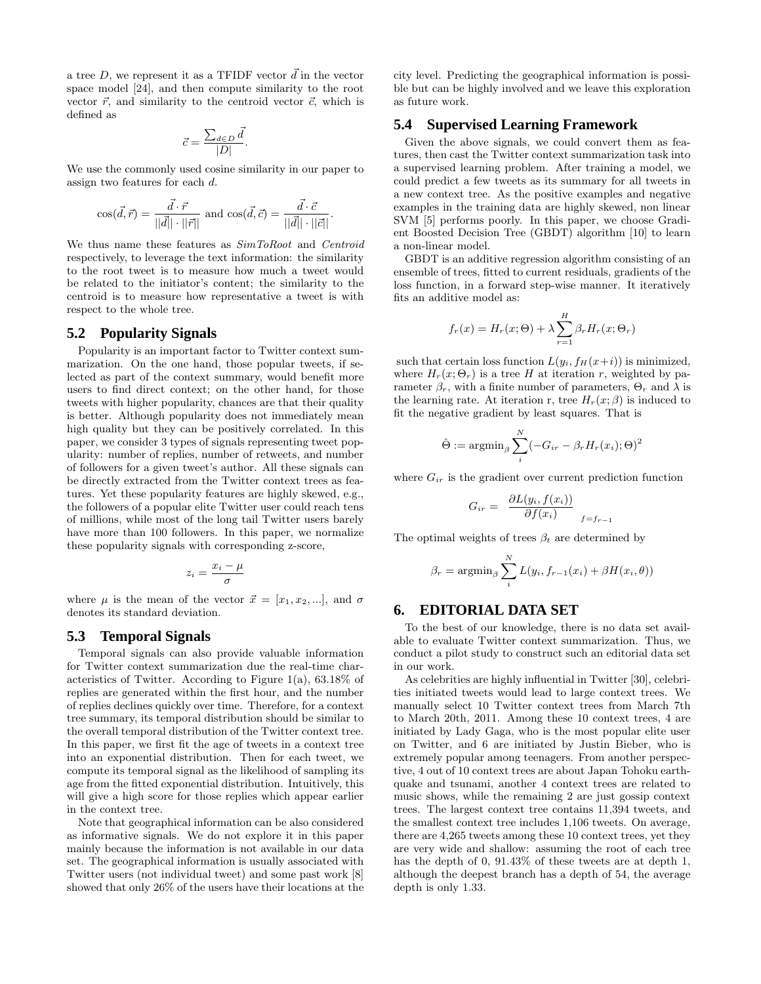a tree D, we represent it as a TFIDF vector  $\vec{d}$  in the vector space model [24], and then compute similarity to the root vector  $\vec{r}$ , and similarity to the centroid vector  $\vec{c}$ , which is defined as

$$
\vec{c} = \frac{\sum_{d \in D} \vec{d}}{|D|}.
$$

We use the commonly used cosine similarity in our paper to assign two features for each d.

$$
\cos(\vec{d}, \vec{r}) = \frac{\vec{d} \cdot \vec{r}}{||\vec{d}|| \cdot ||\vec{r}||}
$$
 and 
$$
\cos(\vec{d}, \vec{c}) = \frac{\vec{d} \cdot \vec{c}}{||\vec{d}|| \cdot ||\vec{c}||}.
$$

We thus name these features as SimToRoot and Centroid respectively, to leverage the text information: the similarity to the root tweet is to measure how much a tweet would be related to the initiator's content; the similarity to the centroid is to measure how representative a tweet is with respect to the whole tree.

#### **5.2 Popularity Signals**

Popularity is an important factor to Twitter context summarization. On the one hand, those popular tweets, if selected as part of the context summary, would benefit more users to find direct context; on the other hand, for those tweets with higher popularity, chances are that their quality is better. Although popularity does not immediately mean high quality but they can be positively correlated. In this paper, we consider 3 types of signals representing tweet popularity: number of replies, number of retweets, and number of followers for a given tweet's author. All these signals can be directly extracted from the Twitter context trees as features. Yet these popularity features are highly skewed, e.g., the followers of a popular elite Twitter user could reach tens of millions, while most of the long tail Twitter users barely have more than 100 followers. In this paper, we normalize these popularity signals with corresponding z-score,

$$
z_i = \frac{x_i - \mu}{\sigma}
$$

where  $\mu$  is the mean of the vector  $\vec{x} = [x_1, x_2, \ldots],$  and  $\sigma$ denotes its standard deviation.

#### **5.3 Temporal Signals**

Temporal signals can also provide valuable information for Twitter context summarization due the real-time characteristics of Twitter. According to Figure 1(a), 63.18% of replies are generated within the first hour, and the number of replies declines quickly over time. Therefore, for a context tree summary, its temporal distribution should be similar to the overall temporal distribution of the Twitter context tree. In this paper, we first fit the age of tweets in a context tree into an exponential distribution. Then for each tweet, we compute its temporal signal as the likelihood of sampling its age from the fitted exponential distribution. Intuitively, this will give a high score for those replies which appear earlier in the context tree.

Note that geographical information can be also considered as informative signals. We do not explore it in this paper mainly because the information is not available in our data set. The geographical information is usually associated with Twitter users (not individual tweet) and some past work [8] showed that only 26% of the users have their locations at the city level. Predicting the geographical information is possible but can be highly involved and we leave this exploration as future work.

#### **5.4 Supervised Learning Framework**

Given the above signals, we could convert them as features, then cast the Twitter context summarization task into a supervised learning problem. After training a model, we could predict a few tweets as its summary for all tweets in a new context tree. As the positive examples and negative examples in the training data are highly skewed, non linear SVM [5] performs poorly. In this paper, we choose Gradient Boosted Decision Tree (GBDT) algorithm [10] to learn a non-linear model.

GBDT is an additive regression algorithm consisting of an ensemble of trees, fitted to current residuals, gradients of the loss function, in a forward step-wise manner. It iteratively fits an additive model as:

$$
f_r(x) = H_r(x; \Theta) + \lambda \sum_{r=1}^{H} \beta_r H_r(x; \Theta_r)
$$

such that certain loss function  $L(y_i, f_H(x+i))$  is minimized, where  $H_r(x; \Theta_r)$  is a tree H at iteration r, weighted by parameter  $\beta_r$ , with a finite number of parameters,  $\Theta_r$  and  $\lambda$  is the learning rate. At iteration r, tree  $H_r(x;\beta)$  is induced to fit the negative gradient by least squares. That is

$$
\hat{\Theta} := \mathrm{argmin}_{\beta} \sum_{i}^{N} (-G_{ir} - \beta_r H_r(x_i); \Theta)^2
$$

where  $G_{ir}$  is the gradient over current prediction function

$$
G_{ir} = \frac{\partial L(y_i, f(x_i))}{\partial f(x_i)} \Big|_{f=f_{r-1}}
$$

The optimal weights of trees  $\beta_t$  are determined by

$$
\beta_r = \text{argmin}_{\beta} \sum_{i}^{N} L(y_i, f_{r-1}(x_i) + \beta H(x_i, \theta))
$$

#### **6. EDITORIAL DATA SET**

To the best of our knowledge, there is no data set available to evaluate Twitter context summarization. Thus, we conduct a pilot study to construct such an editorial data set in our work.

As celebrities are highly influential in Twitter [30], celebrities initiated tweets would lead to large context trees. We manually select 10 Twitter context trees from March 7th to March 20th, 2011. Among these 10 context trees, 4 are initiated by Lady Gaga, who is the most popular elite user on Twitter, and 6 are initiated by Justin Bieber, who is extremely popular among teenagers. From another perspective, 4 out of 10 context trees are about Japan Tohoku earthquake and tsunami, another 4 context trees are related to music shows, while the remaining 2 are just gossip context trees. The largest context tree contains 11,394 tweets, and the smallest context tree includes 1,106 tweets. On average, there are 4,265 tweets among these 10 context trees, yet they are very wide and shallow: assuming the root of each tree has the depth of 0, 91.43% of these tweets are at depth 1, although the deepest branch has a depth of 54, the average depth is only 1.33.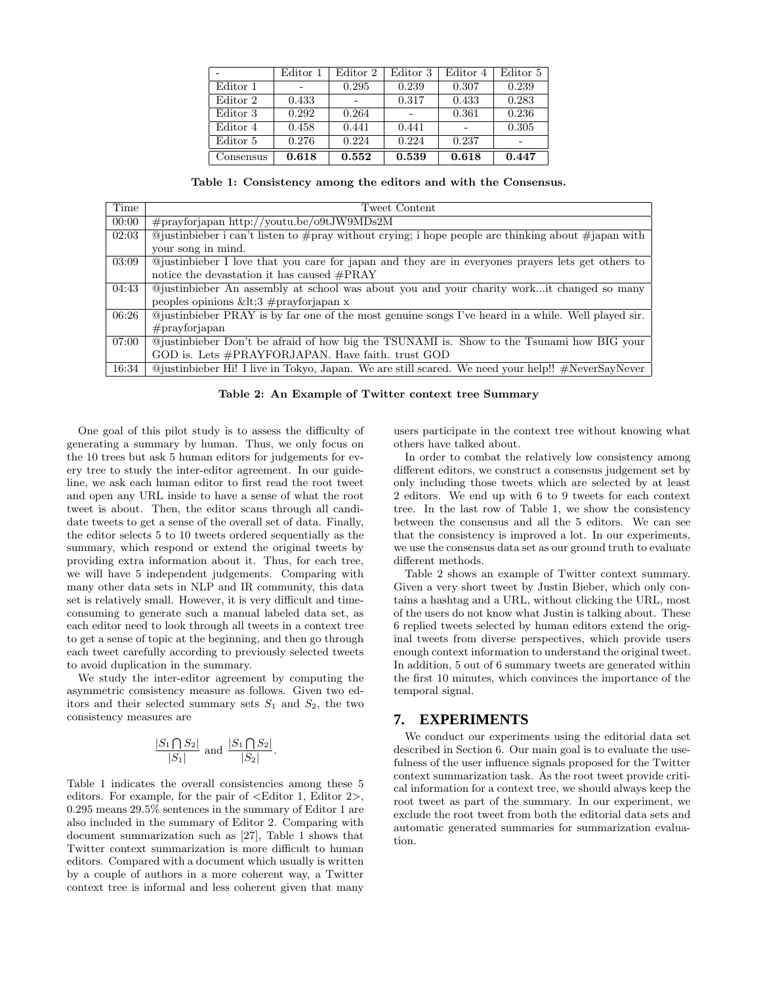|           | Editor 1 | Editor 2 | Editor 3 | Editor 4 | Editor 5 |
|-----------|----------|----------|----------|----------|----------|
| Editor 1  |          | 0.295    | 0.239    | 0.307    | 0.239    |
| Editor 2  | 0.433    |          | 0.317    | 0.433    | 0.283    |
| Editor 3  | 0.292    | 0.264    |          | 0.361    | 0.236    |
| Editor 4  | 0.458    | 0.441    | 0.441    |          | 0.305    |
| Editor 5  | 0.276    | 0.224    | 0.224    | 0.237    |          |
| Consensus | 0.618    | 0.552    | 0.539    | 0.618    | 0.447    |

Table 1: Consistency among the editors and with the Consensus.

| Time  | Tweet Content                                                                                      |
|-------|----------------------------------------------------------------------------------------------------|
| 00:00 | $\#$ prayforjapan http://youtu.be/o9tJW9MDs2M                                                      |
| 02:03 | Quastinbieber i can't listen to #pray without crying; i hope people are thinking about #japan with |
|       | your song in mind.                                                                                 |
| 03:09 | Ojustinbieber I love that you care for japan and they are in everyones prayers lets get others to  |
|       | notice the devastation it has caused $\# \mathrm{PRAY}$                                            |
| 04:43 | @justinbieber An assembly at school was about you and your charity workit changed so many          |
|       | peoples opinions &It3 $#$ prayforjapan x                                                           |
| 06:26 | Ojustinbieber PRAY is by far one of the most genuine songs I've heard in a while. Well played sir. |
|       | $\#$ prayforjapan                                                                                  |
| 07:00 | Quistinbieber Don't be afraid of how big the TSUNAMI is. Show to the Tsunami how BIG your          |
|       | GOD is. Lets #PRAYFORJAPAN. Have faith. trust GOD                                                  |
| 16:34 | Quistinbieber Hi! I live in Tokyo, Japan. We are still scared. We need your help!! #NeverSayNever  |

Table 2: An Example of Twitter context tree Summary

One goal of this pilot study is to assess the difficulty of generating a summary by human. Thus, we only focus on the 10 trees but ask 5 human editors for judgements for every tree to study the inter-editor agreement. In our guideline, we ask each human editor to first read the root tweet and open any URL inside to have a sense of what the root tweet is about. Then, the editor scans through all candidate tweets to get a sense of the overall set of data. Finally, the editor selects 5 to 10 tweets ordered sequentially as the summary, which respond or extend the original tweets by providing extra information about it. Thus, for each tree, we will have 5 independent judgements. Comparing with many other data sets in NLP and IR community, this data set is relatively small. However, it is very difficult and timeconsuming to generate such a manual labeled data set, as each editor need to look through all tweets in a context tree to get a sense of topic at the beginning, and then go through each tweet carefully according to previously selected tweets to avoid duplication in the summary.

We study the inter-editor agreement by computing the asymmetric consistency measure as follows. Given two editors and their selected summary sets  $S_1$  and  $S_2$ , the two consistency measures are

$$
\frac{|S_1 \bigcap S_2|}{|S_1|} \text{ and } \frac{|S_1 \bigcap S_2|}{|S_2|}.
$$

Table 1 indicates the overall consistencies among these 5 editors. For example, for the pair of  $\leq$ Editor 1, Editor 2 $>$ , 0.295 means 29.5% sentences in the summary of Editor 1 are also included in the summary of Editor 2. Comparing with document summarization such as [27], Table 1 shows that Twitter context summarization is more difficult to human editors. Compared with a document which usually is written by a couple of authors in a more coherent way, a Twitter context tree is informal and less coherent given that many

users participate in the context tree without knowing what others have talked about.

In order to combat the relatively low consistency among different editors, we construct a consensus judgement set by only including those tweets which are selected by at least 2 editors. We end up with 6 to 9 tweets for each context tree. In the last row of Table 1, we show the consistency between the consensus and all the 5 editors. We can see that the consistency is improved a lot. In our experiments, we use the consensus data set as our ground truth to evaluate different methods.

Table 2 shows an example of Twitter context summary. Given a very short tweet by Justin Bieber, which only contains a hashtag and a URL, without clicking the URL, most of the users do not know what Justin is talking about. These 6 replied tweets selected by human editors extend the original tweets from diverse perspectives, which provide users enough context information to understand the original tweet. In addition, 5 out of 6 summary tweets are generated within the first 10 minutes, which convinces the importance of the temporal signal.

# **7. EXPERIMENTS**

We conduct our experiments using the editorial data set described in Section 6. Our main goal is to evaluate the usefulness of the user influence signals proposed for the Twitter context summarization task. As the root tweet provide critical information for a context tree, we should always keep the root tweet as part of the summary. In our experiment, we exclude the root tweet from both the editorial data sets and automatic generated summaries for summarization evaluation.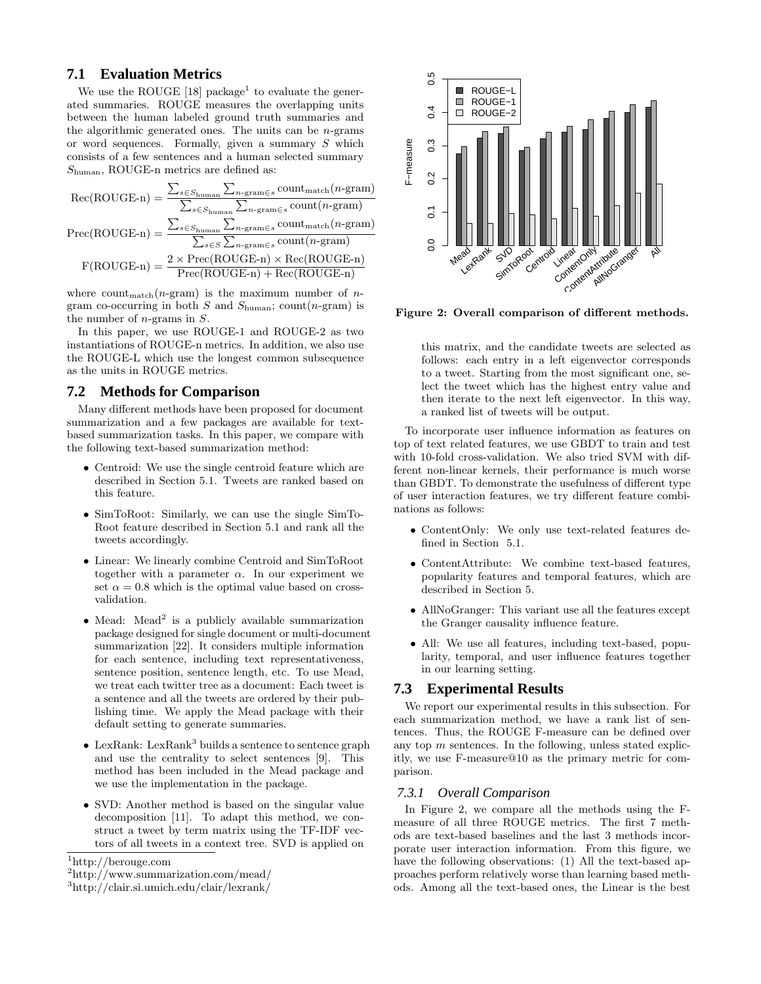## **7.1 Evaluation Metrics**

We use the ROUGE [18] package<sup>1</sup> to evaluate the generated summaries. ROUGE measures the overlapping units between the human labeled ground truth summaries and the algorithmic generated ones. The units can be  $n$ -grams or word sequences. Formally, given a summary  $S$  which consists of a few sentences and a human selected summary Shuman, ROUGE-n metrics are defined as:

Rec(ROUGE-n) = 
$$
\frac{\sum_{s \in S_{\text{human}}} \sum_{n\text{-gram}\in s} \text{count}_{\text{match}}(n\text{-gram})}{\sum_{s \in S_{\text{human}}} \sum_{n\text{-gram}\in s} \text{count}(n\text{-gram})}
$$

$$
Prec(ROUGE-n) = \frac{\sum_{s \in S_{\text{human}}} \sum_{n\text{-gram}\in s} \text{count}_{\text{match}}(n\text{-gram})}{\sum_{s \in S} \sum_{n\text{-gram}\in s} \text{count}(n\text{-gram})}
$$

$$
F(ROUGE-n) = \frac{2 \times Prec(ROUGE-n) \times Rec(ROUGE-n)}{Prec(ROUGE-n) + Rec(ROUGE-n)}
$$

where  $count_{match}(n-gram)$  is the maximum number of ngram co-occurring in both  $S$  and  $S_{\text{human}}$ ; count(n-gram) is the number of  $n$ -grams in  $S$ .

In this paper, we use ROUGE-1 and ROUGE-2 as two instantiations of ROUGE-n metrics. In addition, we also use the ROUGE-L which use the longest common subsequence as the units in ROUGE metrics.

#### **7.2 Methods for Comparison**

Many different methods have been proposed for document summarization and a few packages are available for textbased summarization tasks. In this paper, we compare with the following text-based summarization method:

- Centroid: We use the single centroid feature which are described in Section 5.1. Tweets are ranked based on this feature.
- SimToRoot: Similarly, we can use the single SimTo-Root feature described in Section 5.1 and rank all the tweets accordingly.
- Linear: We linearly combine Centroid and SimToRoot together with a parameter  $\alpha$ . In our experiment we set  $\alpha = 0.8$  which is the optimal value based on crossvalidation.
- $\bullet$  Mead: Mead<sup>2</sup> is a publicly available summarization package designed for single document or multi-document summarization [22]. It considers multiple information for each sentence, including text representativeness, sentence position, sentence length, etc. To use Mead, we treat each twitter tree as a document: Each tweet is a sentence and all the tweets are ordered by their publishing time. We apply the Mead package with their default setting to generate summaries.
- LexRank: LexRank<sup>3</sup> builds a sentence to sentence graph and use the centrality to select sentences [9]. This method has been included in the Mead package and we use the implementation in the package.
- SVD: Another method is based on the singular value decomposition [11]. To adapt this method, we construct a tweet by term matrix using the TF-IDF vectors of all tweets in a context tree. SVD is applied on

<sup>1</sup>http://berouge.com



Figure 2: Overall comparison of different methods.

this matrix, and the candidate tweets are selected as follows: each entry in a left eigenvector corresponds to a tweet. Starting from the most significant one, select the tweet which has the highest entry value and then iterate to the next left eigenvector. In this way, a ranked list of tweets will be output.

To incorporate user influence information as features on top of text related features, we use GBDT to train and test with 10-fold cross-validation. We also tried SVM with different non-linear kernels, their performance is much worse than GBDT. To demonstrate the usefulness of different type of user interaction features, we try different feature combinations as follows:

- ContentOnly: We only use text-related features defined in Section 5.1.
- ContentAttribute: We combine text-based features, popularity features and temporal features, which are described in Section 5.
- AllNoGranger: This variant use all the features except the Granger causality influence feature.
- All: We use all features, including text-based, popularity, temporal, and user influence features together in our learning setting.

## **7.3 Experimental Results**

We report our experimental results in this subsection. For each summarization method, we have a rank list of sentences. Thus, the ROUGE F-measure can be defined over any top  $m$  sentences. In the following, unless stated explicitly, we use F-measure@10 as the primary metric for comparison.

#### *7.3.1 Overall Comparison*

In Figure 2, we compare all the methods using the Fmeasure of all three ROUGE metrics. The first 7 methods are text-based baselines and the last 3 methods incorporate user interaction information. From this figure, we have the following observations: (1) All the text-based approaches perform relatively worse than learning based methods. Among all the text-based ones, the Linear is the best

<sup>2</sup>http://www.summarization.com/mead/

<sup>3</sup>http://clair.si.umich.edu/clair/lexrank/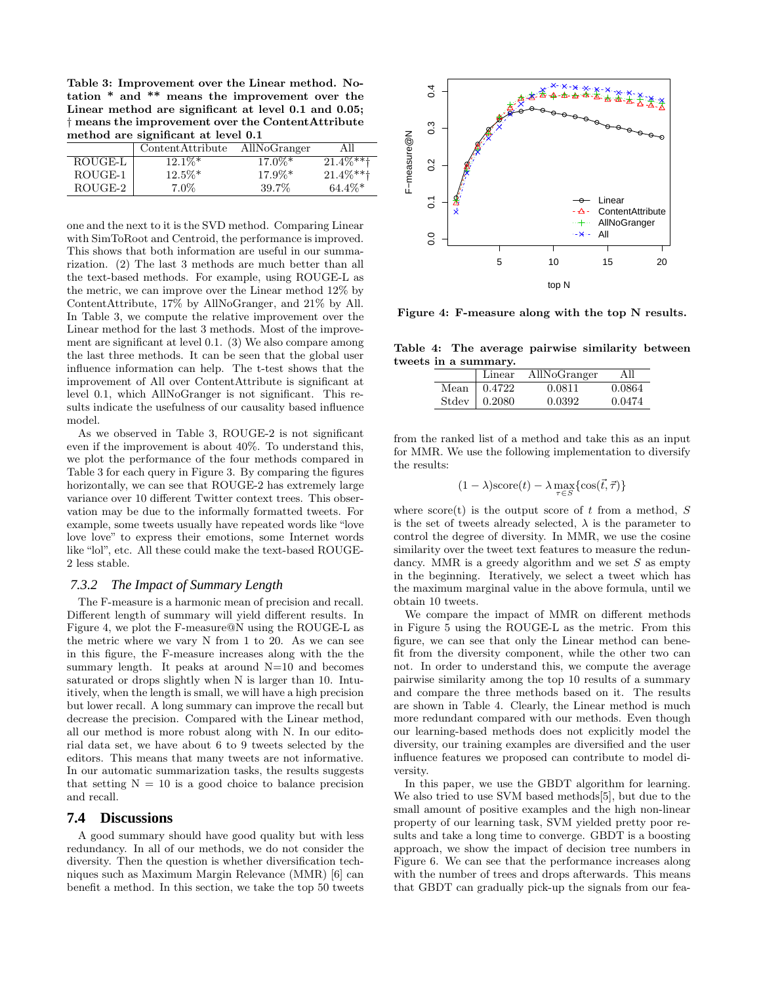Table 3: Improvement over the Linear method. Notation \* and \*\* means the improvement over the Linear method are significant at level 0.1 and 0.05; † means the improvement over the ContentAttribute method are significant at level 0.1

|           | ContentAttribute | AllNoGranger | All          |
|-----------|------------------|--------------|--------------|
| ROUGE-L   | $12.1\%*$        | $17.0\%*$    | $21.4\%$ **† |
| ROUGE-1   | $12.5\%*$        | $17.9\%*$    | $21.4\%$ **† |
| $ROUGE-2$ | $7.0\%$          | 39.7%        | $64.4\%*$    |

one and the next to it is the SVD method. Comparing Linear with SimToRoot and Centroid, the performance is improved. This shows that both information are useful in our summarization. (2) The last 3 methods are much better than all the text-based methods. For example, using ROUGE-L as the metric, we can improve over the Linear method 12% by ContentAttribute, 17% by AllNoGranger, and 21% by All. In Table 3, we compute the relative improvement over the Linear method for the last 3 methods. Most of the improvement are significant at level 0.1. (3) We also compare among the last three methods. It can be seen that the global user influence information can help. The t-test shows that the improvement of All over ContentAttribute is significant at level 0.1, which AllNoGranger is not significant. This results indicate the usefulness of our causality based influence model.

As we observed in Table 3, ROUGE-2 is not significant even if the improvement is about 40%. To understand this, we plot the performance of the four methods compared in Table 3 for each query in Figure 3. By comparing the figures horizontally, we can see that ROUGE-2 has extremely large variance over 10 different Twitter context trees. This observation may be due to the informally formatted tweets. For example, some tweets usually have repeated words like "love love love" to express their emotions, some Internet words like "lol", etc. All these could make the text-based ROUGE-2 less stable.

#### *7.3.2 The Impact of Summary Length*

The F-measure is a harmonic mean of precision and recall. Different length of summary will yield different results. In Figure 4, we plot the F-measure@N using the ROUGE-L as the metric where we vary N from 1 to 20. As we can see in this figure, the F-measure increases along with the the summary length. It peaks at around N=10 and becomes saturated or drops slightly when N is larger than 10. Intuitively, when the length is small, we will have a high precision but lower recall. A long summary can improve the recall but decrease the precision. Compared with the Linear method, all our method is more robust along with N. In our editorial data set, we have about 6 to 9 tweets selected by the editors. This means that many tweets are not informative. In our automatic summarization tasks, the results suggests that setting  $N = 10$  is a good choice to balance precision and recall.

#### **7.4 Discussions**

A good summary should have good quality but with less redundancy. In all of our methods, we do not consider the diversity. Then the question is whether diversification techniques such as Maximum Margin Relevance (MMR) [6] can benefit a method. In this section, we take the top 50 tweets



Figure 4: F-measure along with the top N results.

Table 4: The average pairwise similarity between tweets in a summary.

|       | Linear        | AllNoGranger | All    |
|-------|---------------|--------------|--------|
| Mean  | $\mid 0.4722$ | 0.0811       | 0.0864 |
| Stdev | 0.2080        | 0.0392       | 0.0474 |

from the ranked list of a method and take this as an input for MMR. We use the following implementation to diversify the results:

$$
(1 - \lambda)\operatorname{score}(t) - \lambda \max_{\tau \in S} \{\cos(\vec{t}, \vec{\tau})\}
$$

where score(t) is the output score of t from a method,  $S$ is the set of tweets already selected,  $\lambda$  is the parameter to control the degree of diversity. In MMR, we use the cosine similarity over the tweet text features to measure the redundancy. MMR is a greedy algorithm and we set  $S$  as empty in the beginning. Iteratively, we select a tweet which has the maximum marginal value in the above formula, until we obtain 10 tweets.

We compare the impact of MMR on different methods in Figure 5 using the ROUGE-L as the metric. From this figure, we can see that only the Linear method can benefit from the diversity component, while the other two can not. In order to understand this, we compute the average pairwise similarity among the top 10 results of a summary and compare the three methods based on it. The results are shown in Table 4. Clearly, the Linear method is much more redundant compared with our methods. Even though our learning-based methods does not explicitly model the diversity, our training examples are diversified and the user influence features we proposed can contribute to model diversity.

In this paper, we use the GBDT algorithm for learning. We also tried to use SVM based methods[5], but due to the small amount of positive examples and the high non-linear property of our learning task, SVM yielded pretty poor results and take a long time to converge. GBDT is a boosting approach, we show the impact of decision tree numbers in Figure 6. We can see that the performance increases along with the number of trees and drops afterwards. This means that GBDT can gradually pick-up the signals from our fea-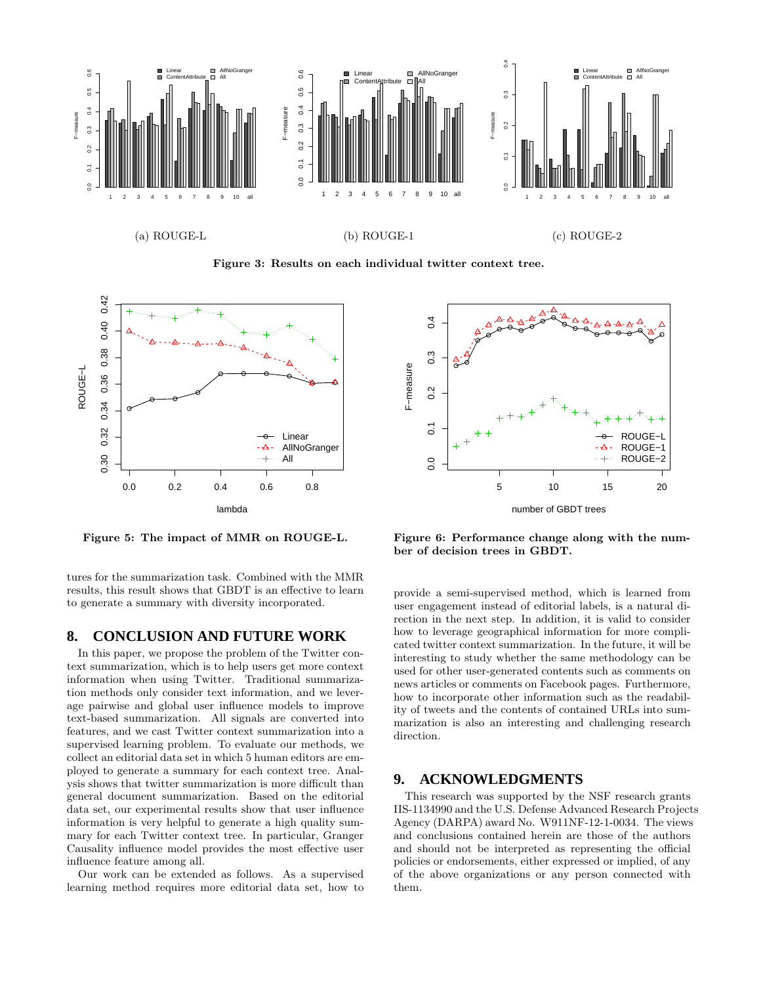

Figure 3: Results on each individual twitter context tree.



Figure 5: The impact of MMR on ROUGE-L.

tures for the summarization task. Combined with the MMR results, this result shows that GBDT is an effective to learn to generate a summary with diversity incorporated.

#### **8. CONCLUSION AND FUTURE WORK**

In this paper, we propose the problem of the Twitter context summarization, which is to help users get more context information when using Twitter. Traditional summarization methods only consider text information, and we leverage pairwise and global user influence models to improve text-based summarization. All signals are converted into features, and we cast Twitter context summarization into a supervised learning problem. To evaluate our methods, we collect an editorial data set in which 5 human editors are employed to generate a summary for each context tree. Analysis shows that twitter summarization is more difficult than general document summarization. Based on the editorial data set, our experimental results show that user influence information is very helpful to generate a high quality summary for each Twitter context tree. In particular, Granger Causality influence model provides the most effective user influence feature among all.

Our work can be extended as follows. As a supervised learning method requires more editorial data set, how to



Figure 6: Performance change along with the number of decision trees in GBDT.

provide a semi-supervised method, which is learned from user engagement instead of editorial labels, is a natural direction in the next step. In addition, it is valid to consider how to leverage geographical information for more complicated twitter context summarization. In the future, it will be interesting to study whether the same methodology can be used for other user-generated contents such as comments on news articles or comments on Facebook pages. Furthermore, how to incorporate other information such as the readability of tweets and the contents of contained URLs into summarization is also an interesting and challenging research direction.

# **9. ACKNOWLEDGMENTS**

This research was supported by the NSF research grants IIS-1134990 and the U.S. Defense Advanced Research Projects Agency (DARPA) award No. W911NF-12-1-0034. The views and conclusions contained herein are those of the authors and should not be interpreted as representing the official policies or endorsements, either expressed or implied, of any of the above organizations or any person connected with them.